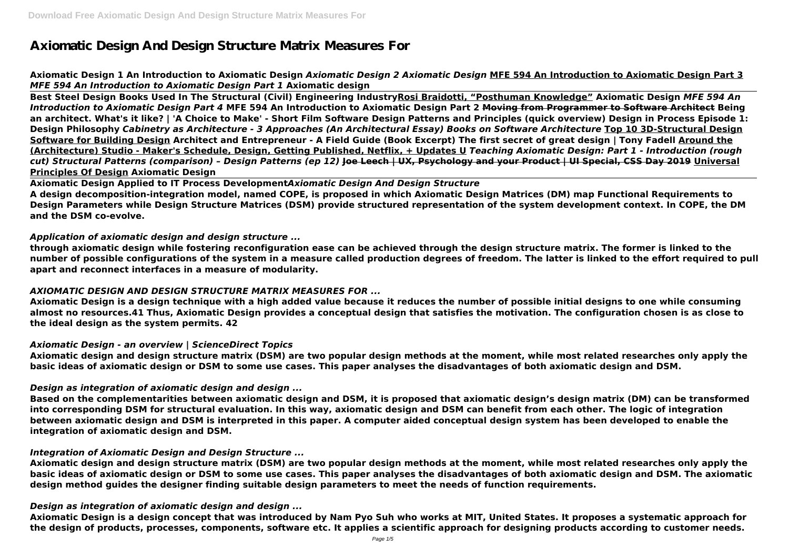# **Axiomatic Design And Design Structure Matrix Measures For**

# **Axiomatic Design 1 An Introduction to Axiomatic Design** *Axiomatic Design 2 Axiomatic Design* **MFE 594 An Introduction to Axiomatic Design Part 3** *MFE 594 An Introduction to Axiomatic Design Part 1* **Axiomatic design**

**Best Steel Design Books Used In The Structural (Civil) Engineering IndustryRosi Braidotti, "Posthuman Knowledge" Axiomatic Design** *MFE 594 An Introduction to Axiomatic Design Part 4* **MFE 594 An Introduction to Axiomatic Design Part 2 Moving from Programmer to Software Architect Being an architect. What's it like? | 'A Choice to Make' - Short Film Software Design Patterns and Principles (quick overview) Design in Process Episode 1: Design Philosophy** *Cabinetry as Architecture - 3 Approaches (An Architectural Essay) Books on Software Architecture* **Top 10 3D-Structural Design Software for Building Design Architect and Entrepreneur - A Field Guide (Book Excerpt) The first secret of great design | Tony Fadell Around the (Architecture) Studio - Maker's Schedule, Design, Getting Published, Netflix, + Updates U** *Teaching Axiomatic Design: Part 1 - Introduction (rough cut) Structural Patterns (comparison) – Design Patterns (ep 12)* **Joe Leech | UX, Psychology and your Product | UI Special, CSS Day 2019 Universal Principles Of Design Axiomatic Design**

**Axiomatic Design Applied to IT Process Development***Axiomatic Design And Design Structure* **A design decomposition‐integration model, named COPE, is proposed in which Axiomatic Design Matrices (DM) map Functional Requirements to Design Parameters while Design Structure Matrices (DSM) provide structured representation of the system development context. In COPE, the DM and the DSM co‐evolve.**

# *Application of axiomatic design and design structure ...*

**through axiomatic design while fostering reconfiguration ease can be achieved through the design structure matrix. The former is linked to the number of possible configurations of the system in a measure called production degrees of freedom. The latter is linked to the effort required to pull apart and reconnect interfaces in a measure of modularity.**

# *AXIOMATIC DESIGN AND DESIGN STRUCTURE MATRIX MEASURES FOR ...*

**Axiomatic Design is a design technique with a high added value because it reduces the number of possible initial designs to one while consuming almost no resources.41 Thus, Axiomatic Design provides a conceptual design that satisfies the motivation. The configuration chosen is as close to the ideal design as the system permits. 42**

# *Axiomatic Design - an overview | ScienceDirect Topics*

**Axiomatic design and design structure matrix (DSM) are two popular design methods at the moment, while most related researches only apply the basic ideas of axiomatic design or DSM to some use cases. This paper analyses the disadvantages of both axiomatic design and DSM.**

# *Design as integration of axiomatic design and design ...*

**Based on the complementarities between axiomatic design and DSM, it is proposed that axiomatic design's design matrix (DM) can be transformed into corresponding DSM for structural evaluation. In this way, axiomatic design and DSM can benefit from each other. The logic of integration between axiomatic design and DSM is interpreted in this paper. A computer aided conceptual design system has been developed to enable the integration of axiomatic design and DSM.**

# *Integration of Axiomatic Design and Design Structure ...*

**Axiomatic design and design structure matrix (DSM) are two popular design methods at the moment, while most related researches only apply the basic ideas of axiomatic design or DSM to some use cases. This paper analyses the disadvantages of both axiomatic design and DSM. The axiomatic design method guides the designer finding suitable design parameters to meet the needs of function requirements.**

# *Design as integration of axiomatic design and design ...*

**Axiomatic Design is a design concept that was introduced by Nam Pyo Suh who works at MIT, United States. It proposes a systematic approach for the design of products, processes, components, software etc. It applies a scientific approach for designing products according to customer needs.**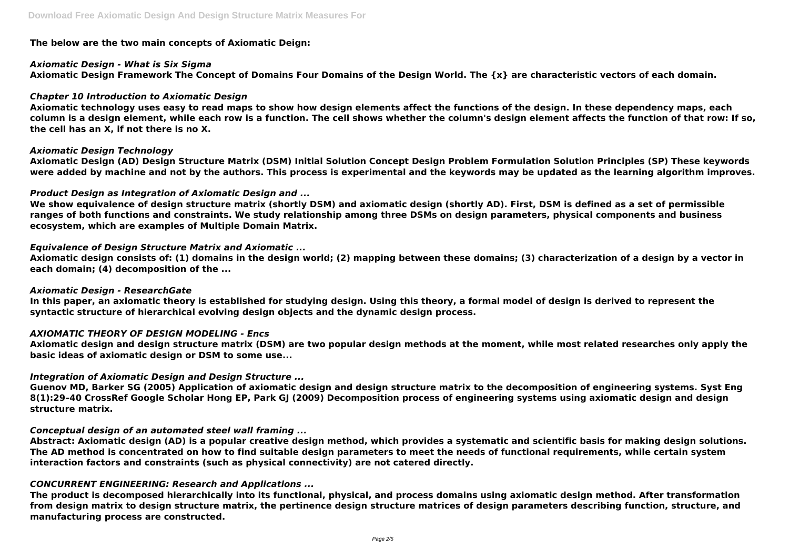### **The below are the two main concepts of Axiomatic Deign:**

### *Axiomatic Design - What is Six Sigma*

**Axiomatic Design Framework The Concept of Domains Four Domains of the Design World. The {x} are characteristic vectors of each domain.**

# *Chapter 10 Introduction to Axiomatic Design*

**Axiomatic technology uses easy to read maps to show how design elements affect the functions of the design. In these dependency maps, each column is a design element, while each row is a function. The cell shows whether the column's design element affects the function of that row: If so, the cell has an X, if not there is no X.**

# *Axiomatic Design Technology*

**Axiomatic Design (AD) Design Structure Matrix (DSM) Initial Solution Concept Design Problem Formulation Solution Principles (SP) These keywords were added by machine and not by the authors. This process is experimental and the keywords may be updated as the learning algorithm improves.**

# *Product Design as Integration of Axiomatic Design and ...*

**We show equivalence of design structure matrix (shortly DSM) and axiomatic design (shortly AD). First, DSM is defined as a set of permissible ranges of both functions and constraints. We study relationship among three DSMs on design parameters, physical components and business ecosystem, which are examples of Multiple Domain Matrix.**

# *Equivalence of Design Structure Matrix and Axiomatic ...*

**Axiomatic design consists of: (1) domains in the design world; (2) mapping between these domains; (3) characterization of a design by a vector in each domain; (4) decomposition of the ...**

### *Axiomatic Design - ResearchGate*

**In this paper, an axiomatic theory is established for studying design. Using this theory, a formal model of design is derived to represent the syntactic structure of hierarchical evolving design objects and the dynamic design process.**

# *AXIOMATIC THEORY OF DESIGN MODELING - Encs*

**Axiomatic design and design structure matrix (DSM) are two popular design methods at the moment, while most related researches only apply the basic ideas of axiomatic design or DSM to some use...**

# *Integration of Axiomatic Design and Design Structure ...*

**Guenov MD, Barker SG (2005) Application of axiomatic design and design structure matrix to the decomposition of engineering systems. Syst Eng 8(1):29–40 CrossRef Google Scholar Hong EP, Park GJ (2009) Decomposition process of engineering systems using axiomatic design and design structure matrix.**

### *Conceptual design of an automated steel wall framing ...*

**Abstract: Axiomatic design (AD) is a popular creative design method, which provides a systematic and scientific basis for making design solutions. The AD method is concentrated on how to find suitable design parameters to meet the needs of functional requirements, while certain system interaction factors and constraints (such as physical connectivity) are not catered directly.**

### *CONCURRENT ENGINEERING: Research and Applications ...*

**The product is decomposed hierarchically into its functional, physical, and process domains using axiomatic design method. After transformation from design matrix to design structure matrix, the pertinence design structure matrices of design parameters describing function, structure, and manufacturing process are constructed.**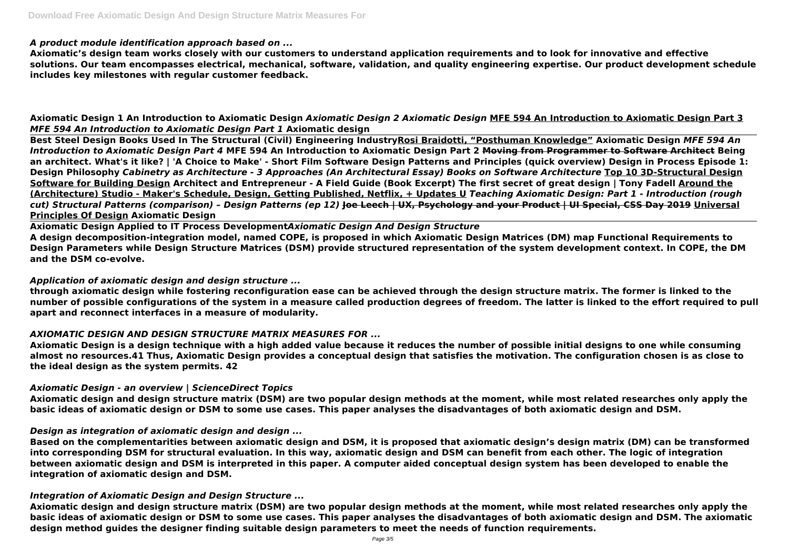#### *A product module identification approach based on ...*

**Axiomatic's design team works closely with our customers to understand application requirements and to look for innovative and effective solutions. Our team encompasses electrical, mechanical, software, validation, and quality engineering expertise. Our product development schedule includes key milestones with regular customer feedback.**

**Axiomatic Design 1 An Introduction to Axiomatic Design** *Axiomatic Design 2 Axiomatic Design* **MFE 594 An Introduction to Axiomatic Design Part 3** *MFE 594 An Introduction to Axiomatic Design Part 1* **Axiomatic design** 

**Best Steel Design Books Used In The Structural (Civil) Engineering IndustryRosi Braidotti, "Posthuman Knowledge" Axiomatic Design** *MFE 594 An Introduction to Axiomatic Design Part 4* **MFE 594 An Introduction to Axiomatic Design Part 2 Moving from Programmer to Software Architect Being an architect. What's it like? | 'A Choice to Make' - Short Film Software Design Patterns and Principles (quick overview) Design in Process Episode 1: Design Philosophy** *Cabinetry as Architecture - 3 Approaches (An Architectural Essay) Books on Software Architecture* **Top 10 3D-Structural Design Software for Building Design Architect and Entrepreneur - A Field Guide (Book Excerpt) The first secret of great design | Tony Fadell Around the (Architecture) Studio - Maker's Schedule, Design, Getting Published, Netflix, + Updates U** *Teaching Axiomatic Design: Part 1 - Introduction (rough cut) Structural Patterns (comparison) – Design Patterns (ep 12)* **Joe Leech | UX, Psychology and your Product | UI Special, CSS Day 2019 Universal Principles Of Design Axiomatic Design**

**Axiomatic Design Applied to IT Process Development***Axiomatic Design And Design Structure* **A design decomposition‐integration model, named COPE, is proposed in which Axiomatic Design Matrices (DM) map Functional Requirements to Design Parameters while Design Structure Matrices (DSM) provide structured representation of the system development context. In COPE, the DM and the DSM co‐evolve.**

#### *Application of axiomatic design and design structure ...*

**through axiomatic design while fostering reconfiguration ease can be achieved through the design structure matrix. The former is linked to the number of possible configurations of the system in a measure called production degrees of freedom. The latter is linked to the effort required to pull apart and reconnect interfaces in a measure of modularity.**

### *AXIOMATIC DESIGN AND DESIGN STRUCTURE MATRIX MEASURES FOR ...*

**Axiomatic Design is a design technique with a high added value because it reduces the number of possible initial designs to one while consuming almost no resources.41 Thus, Axiomatic Design provides a conceptual design that satisfies the motivation. The configuration chosen is as close to the ideal design as the system permits. 42**

### *Axiomatic Design - an overview | ScienceDirect Topics*

**Axiomatic design and design structure matrix (DSM) are two popular design methods at the moment, while most related researches only apply the basic ideas of axiomatic design or DSM to some use cases. This paper analyses the disadvantages of both axiomatic design and DSM.**

### *Design as integration of axiomatic design and design ...*

**Based on the complementarities between axiomatic design and DSM, it is proposed that axiomatic design's design matrix (DM) can be transformed into corresponding DSM for structural evaluation. In this way, axiomatic design and DSM can benefit from each other. The logic of integration between axiomatic design and DSM is interpreted in this paper. A computer aided conceptual design system has been developed to enable the integration of axiomatic design and DSM.**

### *Integration of Axiomatic Design and Design Structure ...*

**Axiomatic design and design structure matrix (DSM) are two popular design methods at the moment, while most related researches only apply the basic ideas of axiomatic design or DSM to some use cases. This paper analyses the disadvantages of both axiomatic design and DSM. The axiomatic design method guides the designer finding suitable design parameters to meet the needs of function requirements.**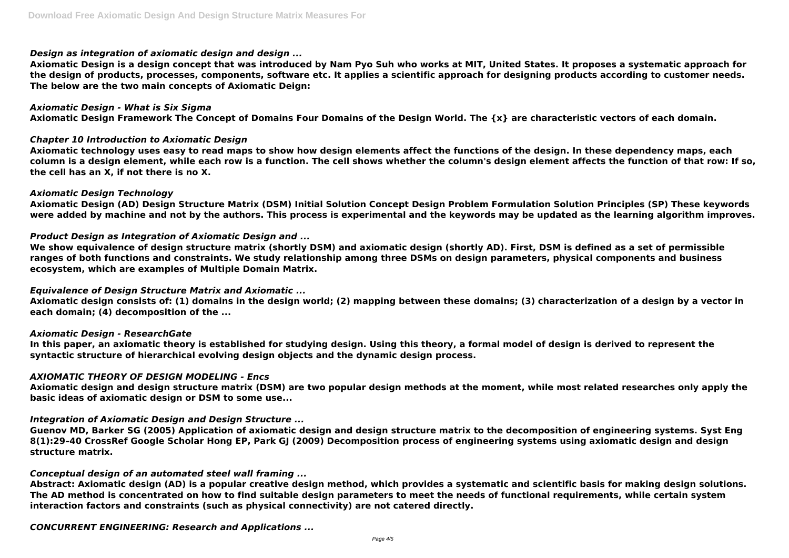### *Design as integration of axiomatic design and design ...*

**Axiomatic Design is a design concept that was introduced by Nam Pyo Suh who works at MIT, United States. It proposes a systematic approach for the design of products, processes, components, software etc. It applies a scientific approach for designing products according to customer needs. The below are the two main concepts of Axiomatic Deign:**

#### *Axiomatic Design - What is Six Sigma*

**Axiomatic Design Framework The Concept of Domains Four Domains of the Design World. The {x} are characteristic vectors of each domain.**

### *Chapter 10 Introduction to Axiomatic Design*

**Axiomatic technology uses easy to read maps to show how design elements affect the functions of the design. In these dependency maps, each column is a design element, while each row is a function. The cell shows whether the column's design element affects the function of that row: If so, the cell has an X, if not there is no X.**

### *Axiomatic Design Technology*

**Axiomatic Design (AD) Design Structure Matrix (DSM) Initial Solution Concept Design Problem Formulation Solution Principles (SP) These keywords were added by machine and not by the authors. This process is experimental and the keywords may be updated as the learning algorithm improves.**

### *Product Design as Integration of Axiomatic Design and ...*

**We show equivalence of design structure matrix (shortly DSM) and axiomatic design (shortly AD). First, DSM is defined as a set of permissible ranges of both functions and constraints. We study relationship among three DSMs on design parameters, physical components and business ecosystem, which are examples of Multiple Domain Matrix.**

### *Equivalence of Design Structure Matrix and Axiomatic ...*

**Axiomatic design consists of: (1) domains in the design world; (2) mapping between these domains; (3) characterization of a design by a vector in each domain; (4) decomposition of the ...**

### *Axiomatic Design - ResearchGate*

**In this paper, an axiomatic theory is established for studying design. Using this theory, a formal model of design is derived to represent the syntactic structure of hierarchical evolving design objects and the dynamic design process.**

### *AXIOMATIC THEORY OF DESIGN MODELING - Encs*

**Axiomatic design and design structure matrix (DSM) are two popular design methods at the moment, while most related researches only apply the basic ideas of axiomatic design or DSM to some use...**

### *Integration of Axiomatic Design and Design Structure ...*

**Guenov MD, Barker SG (2005) Application of axiomatic design and design structure matrix to the decomposition of engineering systems. Syst Eng 8(1):29–40 CrossRef Google Scholar Hong EP, Park GJ (2009) Decomposition process of engineering systems using axiomatic design and design structure matrix.**

### *Conceptual design of an automated steel wall framing ...*

**Abstract: Axiomatic design (AD) is a popular creative design method, which provides a systematic and scientific basis for making design solutions. The AD method is concentrated on how to find suitable design parameters to meet the needs of functional requirements, while certain system interaction factors and constraints (such as physical connectivity) are not catered directly.**

*CONCURRENT ENGINEERING: Research and Applications ...*